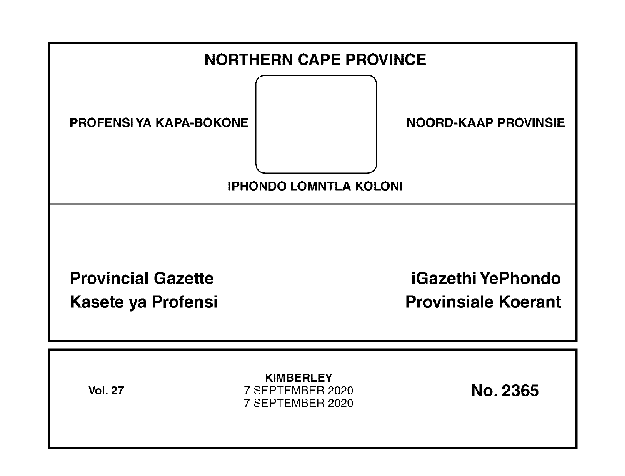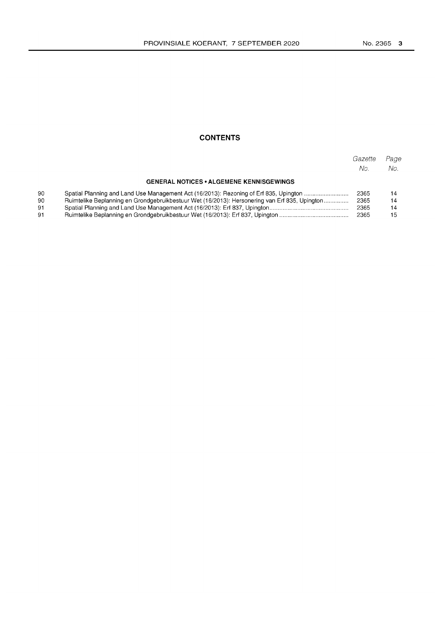## **CONTENTS**

|                                                 |                                                                                               | Gazette<br>No. | Page<br>No. |
|-------------------------------------------------|-----------------------------------------------------------------------------------------------|----------------|-------------|
| <b>GENERAL NOTICES • ALGEMENE KENNISGEWINGS</b> |                                                                                               |                |             |
| 90                                              | Spatial Planning and Land Use Management Act (16/2013): Rezoning of Erf 835, Upington         | 2365           | 14          |
| 90                                              | Ruimtelike Beplanning en Grondgebruikbestuur Wet (16/2013): Hersonering van Erf 835, Upington | 2365           | 14          |
| 91                                              |                                                                                               | 2365           | 14          |
| 91                                              |                                                                                               | 2365           | 15.         |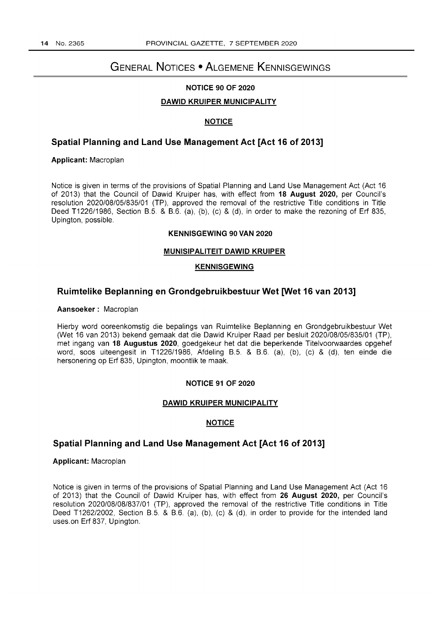# **GENERAL NOTICES • ALGEMENE KENNISGEWINGS**

## **NOTICE 90 OF 2020**

### **DAWID KRUIPER MUNICIPALITY**

## **NOTICE**

## **Spatial Planning and Land Use Management Act [Act 16 of 2013]**

**Applicant:** Macroplan

Notice is given in terms of the provisions of Spatial Planning and Land Use Management Act (Act 16 of 2013) that the Council of Dawid Kruiper has, with effect from **18 August 2020,** per Council's resolution 2020/08/05/835/01 (TP), approved the removal of the restrictive Title conditions in Title Deed T1226/1986, Section B.5. & B.6. (a), (b), (c) & (d), in order to make the rezoning of Erf 835, Upington, possible.

#### **KENNISGEWING 90 VAN 2020**

#### **MUNISIPALITEIT DAWID KRUIPER**

## **KENNISGEWING**

## **Ruimtelike Beplanning en Grondgebruikbestuur Wet [Wet 16 van 2013]**

#### **Aansoeker:** Macroplan

Hierby word ooreenkomstig die bepalings van Ruimtelike Beplanning en Grondgebruikbestuur Wet (Wet 16 van 2013) bekend gemaak dat die Dawid Kruiper Raad per besluit 2020/08/05/835/01 (TP), met ingang van **18 Augustus 2020,** goedgekeur het dat die beperkende Titelvoorwaardes opgehef word, soos uiteengesit in T1226/1986, Afdeling B.5. & B.6. (a), (b), (c) & (d), ten einde die hersonering op Erf 835, Upington, moontlik te maak.

#### **NOTICE 91 OF 2020**

#### **DAWID KRUIPER MUNICIPALITY**

### **NOTICE**

## **Spatial Planning and Land Use Management Act [Act 16 of 2013]**

## **Applicant:** Macroplan

Notice is given in terms of the provisions of Spatial Planning and Land Use Management Act (Act 16 of 2013) that the Council of Dawid Kruiper has, with effect from **26 August 2020,** per Council's resolution 2020108/08/837/01 (TP), approved the removal of the restrictive Title conditions in Title Deed T1262/2002, Section B.5. & B.6. (a), (b), (c) & (d), in order to provide for the intended land uses. on Erf 837, Upington.